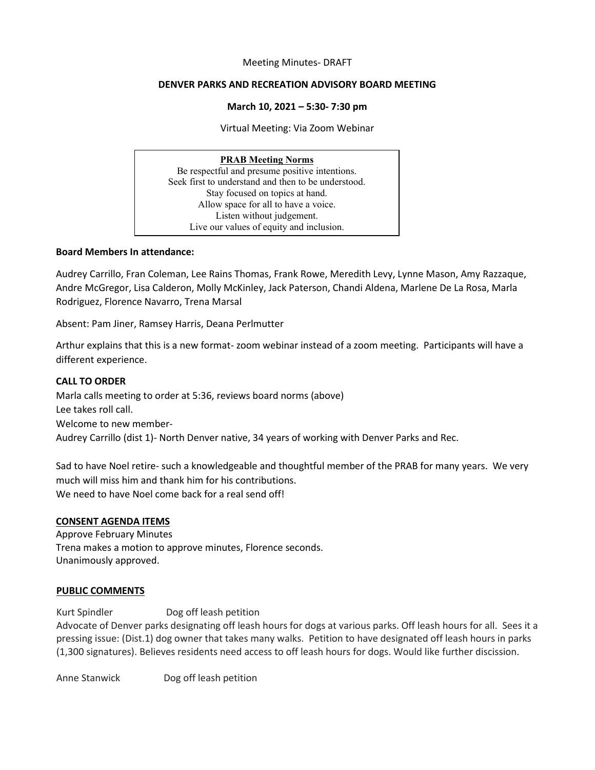#### Meeting Minutes- DRAFT

#### **DENVER PARKS AND RECREATION ADVISORY BOARD MEETING**

#### **March 10, 2021 – 5:30- 7:30 pm**

Virtual Meeting: Via Zoom Webinar

## **PRAB Meeting Norms**

Be respectful and presume positive intentions. Seek first to understand and then to be understood. Stay focused on topics at hand. Allow space for all to have a voice. Listen without judgement. Live our values of equity and inclusion.

#### **Board Members In attendance:**

Audrey Carrillo, Fran Coleman, Lee Rains Thomas, Frank Rowe, Meredith Levy, Lynne Mason, Amy Razzaque, Andre McGregor, Lisa Calderon, Molly McKinley, Jack Paterson, Chandi Aldena, Marlene De La Rosa, Marla Rodriguez, Florence Navarro, Trena Marsal

Absent: Pam Jiner, Ramsey Harris, Deana Perlmutter

Arthur explains that this is a new format- zoom webinar instead of a zoom meeting. Participants will have a different experience.

### **CALL TO ORDER**

Marla calls meeting to order at 5:36, reviews board norms (above) Lee takes roll call. Welcome to new member-Audrey Carrillo (dist 1)- North Denver native, 34 years of working with Denver Parks and Rec.

Sad to have Noel retire- such a knowledgeable and thoughtful member of the PRAB for many years. We very much will miss him and thank him for his contributions. We need to have Noel come back for a real send off!

### **CONSENT AGENDA ITEMS**

Approve February Minutes Trena makes a motion to approve minutes, Florence seconds. Unanimously approved.

### **PUBLIC COMMENTS**

Kurt Spindler Dog off leash petition Advocate of Denver parks designating off leash hours for dogs at various parks. Off leash hours for all. Sees it a pressing issue: (Dist.1) dog owner that takes many walks. Petition to have designated off leash hours in parks (1,300 signatures). Believes residents need access to off leash hours for dogs. Would like further discission.

Anne Stanwick Dog off leash petition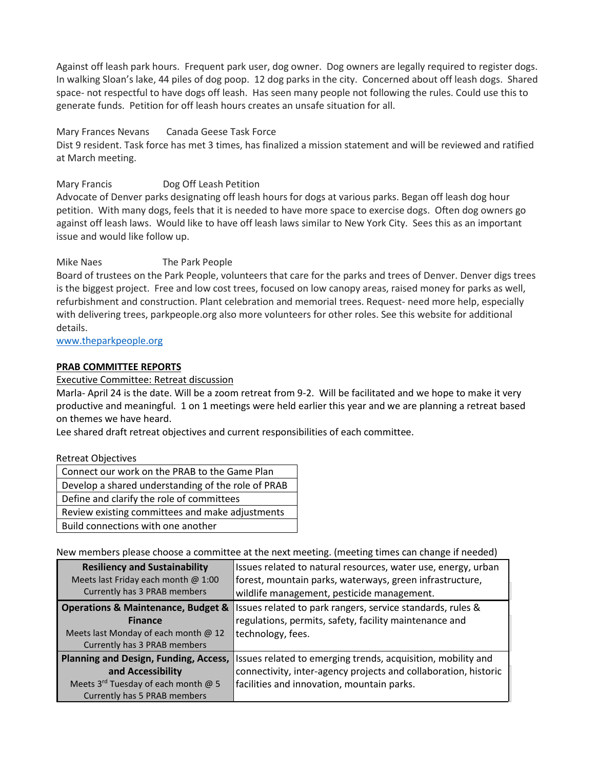Against off leash park hours. Frequent park user, dog owner. Dog owners are legally required to register dogs. In walking Sloan's lake, 44 piles of dog poop. 12 dog parks in the city. Concerned about off leash dogs. Shared space- not respectful to have dogs off leash. Has seen many people not following the rules. Could use this to generate funds. Petition for off leash hours creates an unsafe situation for all.

### Mary Frances Nevans Canada Geese Task Force

Dist 9 resident. Task force has met 3 times, has finalized a mission statement and will be reviewed and ratified at March meeting.

## Mary Francis Dog Off Leash Petition

Advocate of Denver parks designating off leash hours for dogs at various parks. Began off leash dog hour petition. With many dogs, feels that it is needed to have more space to exercise dogs. Often dog owners go against off leash laws. Would like to have off leash laws similar to New York City. Sees this as an important issue and would like follow up.

## Mike Naes The Park People

Board of trustees on the Park People, volunteers that care for the parks and trees of Denver. Denver digs trees is the biggest project. Free and low cost trees, focused on low canopy areas, raised money for parks as well, refurbishment and construction. Plant celebration and memorial trees. Request- need more help, especially with delivering trees, parkpeople.org also more volunteers for other roles. See this website for additional details.

### [www.theparkpeople.org](http://www.theparkpeople.org/)

## **PRAB COMMITTEE REPORTS**

Executive Committee: Retreat discussion

Marla- April 24 is the date. Will be a zoom retreat from 9-2. Will be facilitated and we hope to make it very productive and meaningful. 1 on 1 meetings were held earlier this year and we are planning a retreat based on themes we have heard.

Lee shared draft retreat objectives and current responsibilities of each committee.

### Retreat Objectives

| Connect our work on the PRAB to the Game Plan      |  |
|----------------------------------------------------|--|
| Develop a shared understanding of the role of PRAB |  |
| Define and clarify the role of committees          |  |
| Review existing committees and make adjustments    |  |
| Build connections with one another                 |  |

New members please choose a committee at the next meeting. (meeting times can change if needed)

| <b>Resiliency and Sustainability</b><br>Meets last Friday each month @ 1:00<br>Currently has 3 PRAB members                                 | Issues related to natural resources, water use, energy, urban<br>forest, mountain parks, waterways, green infrastructure,<br>wildlife management, pesticide management.       |
|---------------------------------------------------------------------------------------------------------------------------------------------|-------------------------------------------------------------------------------------------------------------------------------------------------------------------------------|
| <b>Operations &amp; Maintenance, Budget &amp;</b><br><b>Finance</b><br>Meets last Monday of each month @ 12<br>Currently has 3 PRAB members | Issues related to park rangers, service standards, rules &<br>regulations, permits, safety, facility maintenance and<br>technology, fees.                                     |
| Planning and Design, Funding, Access,<br>and Accessibility<br>Meets 3rd Tuesday of each month @ 5<br>Currently has 5 PRAB members           | Issues related to emerging trends, acquisition, mobility and<br>connectivity, inter-agency projects and collaboration, historic<br>facilities and innovation, mountain parks. |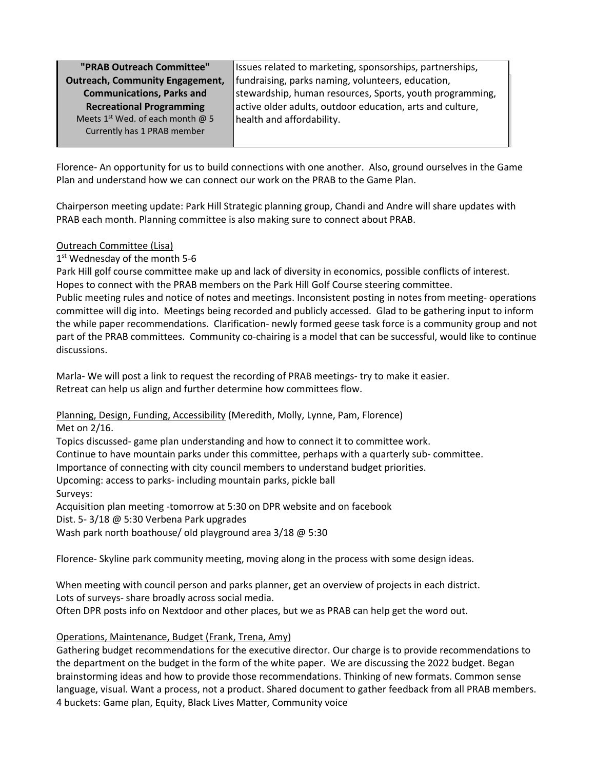| "PRAB Outreach Committee"                    |  |  |
|----------------------------------------------|--|--|
| <b>Outreach, Community Engagement,</b>       |  |  |
| <b>Communications, Parks and</b>             |  |  |
| <b>Recreational Programming</b>              |  |  |
| Meets 1 <sup>st</sup> Wed. of each month @ 5 |  |  |
| Currently has 1 PRAB member                  |  |  |
|                                              |  |  |

Issues related to marketing, sponsorships, partnerships, fundraising, parks naming, volunteers, education, stewardship, human resources, Sports, youth programming, active older adults, outdoor education, arts and culture, health and affordability.

Florence- An opportunity for us to build connections with one another. Also, ground ourselves in the Game Plan and understand how we can connect our work on the PRAB to the Game Plan.

Chairperson meeting update: Park Hill Strategic planning group, Chandi and Andre will share updates with PRAB each month. Planning committee is also making sure to connect about PRAB.

## Outreach Committee (Lisa)

## 1<sup>st</sup> Wednesday of the month 5-6

Park Hill golf course committee make up and lack of diversity in economics, possible conflicts of interest. Hopes to connect with the PRAB members on the Park Hill Golf Course steering committee.

Public meeting rules and notice of notes and meetings. Inconsistent posting in notes from meeting- operations committee will dig into. Meetings being recorded and publicly accessed. Glad to be gathering input to inform the while paper recommendations. Clarification- newly formed geese task force is a community group and not part of the PRAB committees. Community co-chairing is a model that can be successful, would like to continue discussions.

Marla- We will post a link to request the recording of PRAB meetings- try to make it easier. Retreat can help us align and further determine how committees flow.

Planning, Design, Funding, Accessibility (Meredith, Molly, Lynne, Pam, Florence)

Met on 2/16.

Topics discussed- game plan understanding and how to connect it to committee work.

Continue to have mountain parks under this committee, perhaps with a quarterly sub- committee.

Importance of connecting with city council members to understand budget priorities.

Upcoming: access to parks- including mountain parks, pickle ball

Surveys:

Acquisition plan meeting -tomorrow at 5:30 on DPR website and on facebook

Dist. 5- 3/18 @ 5:30 Verbena Park upgrades

Wash park north boathouse/ old playground area 3/18 @ 5:30

Florence- Skyline park community meeting, moving along in the process with some design ideas.

When meeting with council person and parks planner, get an overview of projects in each district. Lots of surveys- share broadly across social media.

Often DPR posts info on Nextdoor and other places, but we as PRAB can help get the word out.

## Operations, Maintenance, Budget (Frank, Trena, Amy)

Gathering budget recommendations for the executive director. Our charge is to provide recommendations to the department on the budget in the form of the white paper. We are discussing the 2022 budget. Began brainstorming ideas and how to provide those recommendations. Thinking of new formats. Common sense language, visual. Want a process, not a product. Shared document to gather feedback from all PRAB members. 4 buckets: Game plan, Equity, Black Lives Matter, Community voice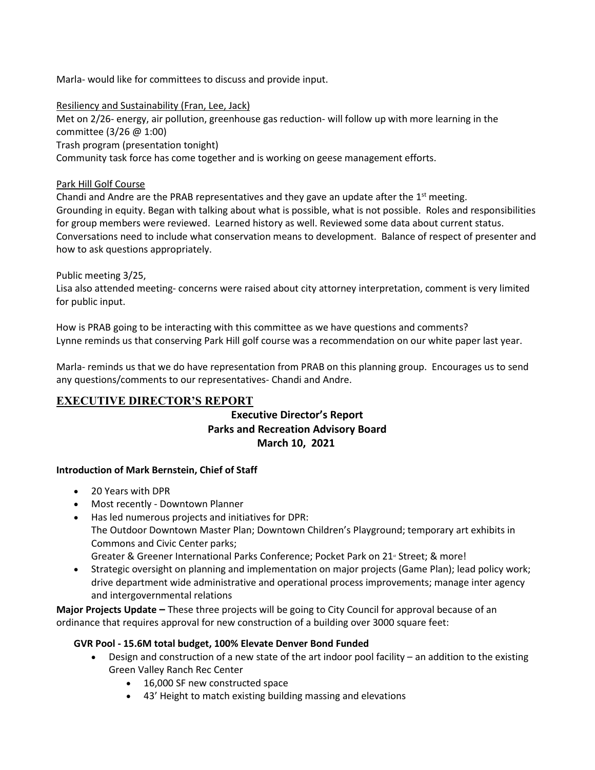Marla- would like for committees to discuss and provide input.

#### Resiliency and Sustainability (Fran, Lee, Jack)

Met on 2/26- energy, air pollution, greenhouse gas reduction- will follow up with more learning in the committee (3/26 @ 1:00) Trash program (presentation tonight) Community task force has come together and is working on geese management efforts.

### Park Hill Golf Course

Chandi and Andre are the PRAB representatives and they gave an update after the  $1<sup>st</sup>$  meeting. Grounding in equity. Began with talking about what is possible, what is not possible. Roles and responsibilities for group members were reviewed. Learned history as well. Reviewed some data about current status. Conversations need to include what conservation means to development. Balance of respect of presenter and how to ask questions appropriately.

### Public meeting 3/25,

Lisa also attended meeting- concerns were raised about city attorney interpretation, comment is very limited for public input.

How is PRAB going to be interacting with this committee as we have questions and comments? Lynne reminds us that conserving Park Hill golf course was a recommendation on our white paper last year.

Marla- reminds us that we do have representation from PRAB on this planning group. Encourages us to send any questions/comments to our representatives- Chandi and Andre.

## **EXECUTIVE DIRECTOR'S REPORT**

# **Executive Director's Report Parks and Recreation Advisory Board March 10, 2021**

### **Introduction of Mark Bernstein, Chief of Staff**

- 20 Years with DPR
- Most recently Downtown Planner
- Has led numerous projects and initiatives for DPR: The Outdoor Downtown Master Plan; Downtown Children's Playground; temporary art exhibits in Commons and Civic Center parks; Greater & Greener International Parks Conference; Pocket Park on 21<sup>x</sup> Street; & more!
- Strategic oversight on planning and implementation on major projects (Game Plan); lead policy work; drive department wide administrative and operational process improvements; manage inter agency and intergovernmental relations

**Major Projects Update –** These three projects will be going to City Council for approval because of an ordinance that requires approval for new construction of a building over 3000 square feet:

### **GVR Pool - 15.6M total budget, 100% Elevate Denver Bond Funded**

- Design and construction of a new state of the art indoor pool facility an addition to the existing Green Valley Ranch Rec Center
	- 16,000 SF new constructed space
	- 43' Height to match existing building massing and elevations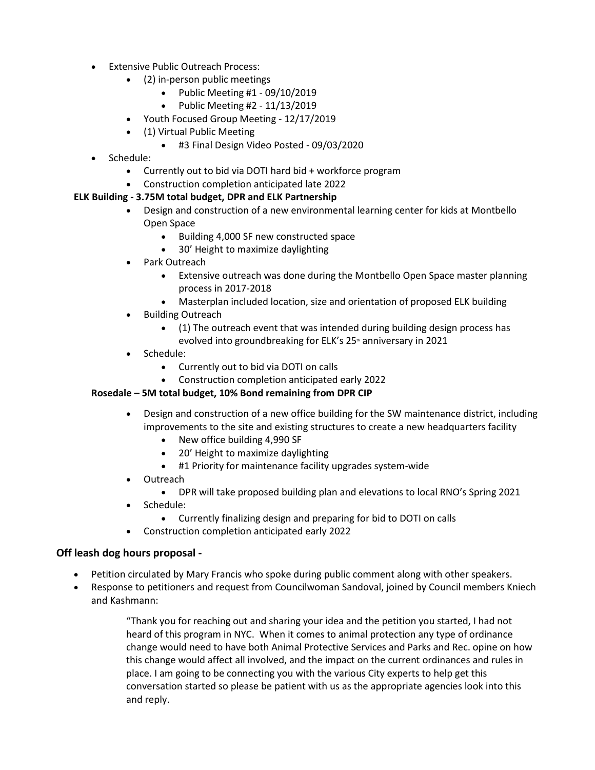- Extensive Public Outreach Process:
	- (2) in-person public meetings
		- Public Meeting #1 09/10/2019
		- Public Meeting #2 11/13/2019
	- Youth Focused Group Meeting 12/17/2019
	- (1) Virtual Public Meeting
		- #3 Final Design Video Posted 09/03/2020
- Schedule:
	- Currently out to bid via DOTI hard bid + workforce program
	- Construction completion anticipated late 2022

## **ELK Building - 3.75M total budget, DPR and ELK Partnership**

- Design and construction of a new environmental learning center for kids at Montbello Open Space
	- Building 4,000 SF new constructed space
	- 30' Height to maximize daylighting
- Park Outreach
	- Extensive outreach was done during the Montbello Open Space master planning process in 2017-2018
	- Masterplan included location, size and orientation of proposed ELK building
- Building Outreach
	- (1) The outreach event that was intended during building design process has evolved into groundbreaking for ELK's 25<sup>th</sup> anniversary in 2021
- Schedule:
	- Currently out to bid via DOTI on calls
	- Construction completion anticipated early 2022

## **Rosedale – 5M total budget, 10% Bond remaining from DPR CIP**

- Design and construction of a new office building for the SW maintenance district, including improvements to the site and existing structures to create a new headquarters facility
	- New office building 4,990 SF
	- 20' Height to maximize daylighting
	- #1 Priority for maintenance facility upgrades system-wide
- Outreach
	- DPR will take proposed building plan and elevations to local RNO's Spring 2021
- Schedule:
	- Currently finalizing design and preparing for bid to DOTI on calls
- Construction completion anticipated early 2022

## **Off leash dog hours proposal -**

- Petition circulated by Mary Francis who spoke during public comment along with other speakers.
- Response to petitioners and request from Councilwoman Sandoval, joined by Council members Kniech and Kashmann:

"Thank you for reaching out and sharing your idea and the petition you started, I had not heard of this program in NYC. When it comes to animal protection any type of ordinance change would need to have both Animal Protective Services and Parks and Rec. opine on how this change would affect all involved, and the impact on the current ordinances and rules in place. I am going to be connecting you with the various City experts to help get this conversation started so please be patient with us as the appropriate agencies look into this and reply.